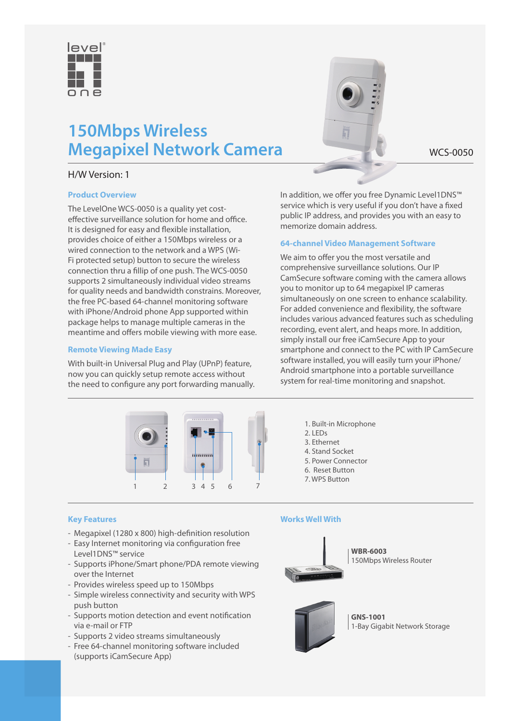

# **150Mbps Wireless Megapixel Network Camera** WCS-0050

# H/W Version: 1

# **Product Overview**

The LevelOne WCS-0050 is a quality yet costeffective surveillance solution for home and office. It is designed for easy and flexible installation, provides choice of either a 150Mbps wireless or a wired connection to the network and a WPS (Wi-Fi protected setup) button to secure the wireless connection thru a fillip of one push. The WCS-0050 supports 2 simultaneously individual video streams for quality needs and bandwidth constrains. Moreover, the free PC-based 64-channel monitoring software with iPhone/Android phone App supported within package helps to manage multiple cameras in the meantime and offers mobile viewing with more ease.

#### **Remote Viewing Made Easy**

With built-in Universal Plug and Play (UPnP) feature, now you can quickly setup remote access without the need to configure any port forwarding manually. In addition, we offer you free Dynamic Level1DNS™ service which is very useful if you don't have a fixed public IP address, and provides you with an easy to memorize domain address.

# **64-channel Video Management Software**

We aim to offer you the most versatile and comprehensive surveillance solutions. Our IP CamSecure software coming with the camera allows you to monitor up to 64 megapixel IP cameras simultaneously on one screen to enhance scalability. For added convenience and flexibility, the software includes various advanced features such as scheduling recording, event alert, and heaps more. In addition, simply install our free iCamSecure App to your smartphone and connect to the PC with IP CamSecure software installed, you will easily turn your iPhone/ Android smartphone into a portable surveillance system for real-time monitoring and snapshot.



**Key Features**

- Megapixel (1280 x 800) high-definition resolution
- Easy Internet monitoring via configuration free Level1DNS™ service
- Supports iPhone/Smart phone/PDA remote viewing over the Internet
- Provides wireless speed up to 150Mbps
- Simple wireless connectivity and security with WPS push button
- Supports motion detection and event notification via e-mail or FTP
- Supports 2 video streams simultaneously
- Free 64-channel monitoring software included (supports iCamSecure App)

#### **Works Well With**

2. LEDs 3. Ethernet 4. Stand Socket 5. Power Connector 6. Reset Button 7. WPS Button

1. Built-in Microphone



**WBR-6003** 150Mbps Wireless Router



**GNS-1001** 1-Bay Gigabit Network Storage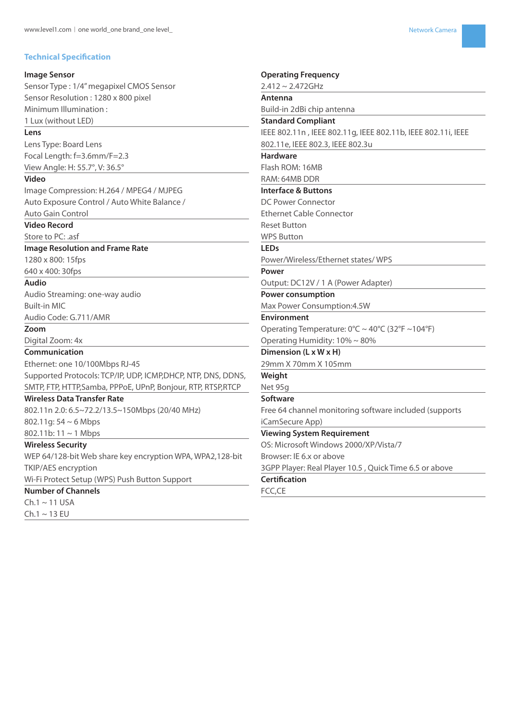#### **Technical Specification**

#### **Image Sensor**

Sensor Type : 1/4" megapixel CMOS Sensor Sensor Resolution : 1280 x 800 pixel Minimum Illumination : 1 Lux (without LED)

#### **Lens**

Lens Type: Board Lens Focal Length: f=3.6mm/F=2.3 View Angle: H: 55.7°, V: 36.5°

#### **Video**

Image Compression: H.264 / MPEG4 / MJPEG Auto Exposure Control / Auto White Balance / Auto Gain Control

#### **Video Record**

Store to PC: .asf

#### **Image Resolution and Frame Rate**

1280 x 800: 15fps

#### 640 x 400: 30fps

**Audio**

Audio Streaming: one-way audio Built-in MIC Audio Code: G.711/AMR

**Zoom**

Digital Zoom: 4x

#### **Communication**

Ethernet: one 10/100Mbps RJ-45 Supported Protocols: TCP/IP, UDP, ICMP,DHCP, NTP, DNS, DDNS, SMTP, FTP, HTTP,Samba, PPPoE, UPnP, Bonjour, RTP, RTSP,RTCP

# **Wireless Data Transfer Rate**

802.11n 2.0: 6.5~72.2/13.5~150Mbps (20/40 MHz) 802.11g: 54 ~ 6 Mbps

#### 802.11b:  $11 \sim 1$  Mbps **Wireless Security**

WEP 64/128-bit Web share key encryption WPA, WPA2,128-bit TKIP/AES encryption

Wi-Fi Protect Setup (WPS) Push Button Support

# **Number of Channels**

 $Ch.1 \sim 11$  USA  $Ch.1 \sim 13 EU$ 

# **Operating Frequency** 2.412 ~ 2.472GHz **Antenna** Build-in 2dBi chip antenna **Standard Compliant** IEEE 802.11n , IEEE 802.11g, IEEE 802.11b, IEEE 802.11i, IEEE 802.11e, IEEE 802.3, IEEE 802.3u **Hardware** Flash ROM: 16MB RAM: 64MB DDR **Interface & Buttons** DC Power Connector Ethernet Cable Connector Reset Button WPS Button **LEDs** Power/Wireless/Ethernet states/ WPS **Power** Output: DC12V / 1 A (Power Adapter) **Power consumption** Max Power Consumption:4.5W **Environment** Operating Temperature:  $0^{\circ}$ C ~ 40 $^{\circ}$ C (32 $^{\circ}$ F ~104 $^{\circ}$ F) Operating Humidity: 10% ~ 80% **Dimension (L x W x H)** 29mm X 70mm X 105mm **Weight** Net 95g **Software** Free 64 channel monitoring software included (supports iCamSecure App) **Viewing System Requirement** OS: Microsoft Windows 2000/XP/Vista/7 Browser: IE 6.x or above 3GPP Player: Real Player 10.5 , Quick Time 6.5 or above **Certification**

# FCC,CE